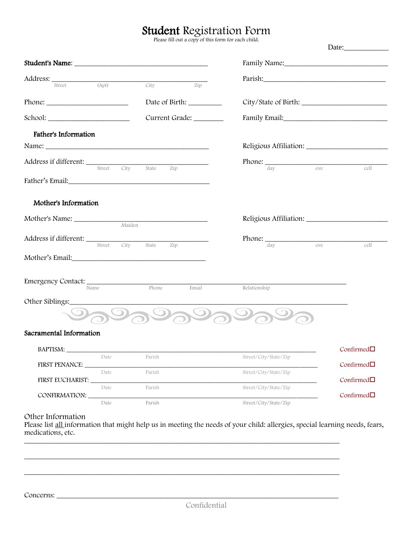## Student Registration Form

Please fill out a copy of this form for each child.

| Address: Street (Apt)                          |           | City<br>Zip                       |                                                                                                                |                       |
|------------------------------------------------|-----------|-----------------------------------|----------------------------------------------------------------------------------------------------------------|-----------------------|
|                                                |           |                                   |                                                                                                                |                       |
| $\mathsf{Phone:}\_\_$                          |           |                                   |                                                                                                                |                       |
|                                                |           | Current Grade: _______            | Family Email: Manual Assembly Press, and Press, and Press, and Press, and Press, and Press, and Press, and Pre |                       |
| Father's Information                           |           |                                   |                                                                                                                |                       |
|                                                |           |                                   |                                                                                                                |                       |
|                                                |           | City State                        | $Phone:$ $_{day}$ eve                                                                                          | cell                  |
|                                                |           | Zip                               |                                                                                                                |                       |
| Mother's Information                           |           |                                   |                                                                                                                |                       |
|                                                | Maiden    |                                   |                                                                                                                |                       |
| <b>Address if different:</b> Street City State |           | Zip                               | $Phone:$ $_{day}$ eve                                                                                          | cell                  |
| Mother's Email: Mother's Email:                |           |                                   |                                                                                                                |                       |
| Emergency Contact:                             |           | Phone<br>Email                    | Relationship                                                                                                   |                       |
| Other Siblings:                                |           |                                   |                                                                                                                |                       |
|                                                | $\bullet$ | $\mathcal{D}$<br>$\frown$ $\odot$ |                                                                                                                |                       |
| Sacramental Information                        |           |                                   |                                                                                                                |                       |
| <b>BAPTISM:</b>                                |           |                                   |                                                                                                                | $Confirmed$ $\square$ |
|                                                | Date      | Parish                            | Street/City/State/Zip                                                                                          |                       |
| FIRST PENANCE:                                 |           |                                   |                                                                                                                | $Confirmed$ $\Box$    |
| FIRST EUCHARIST:                               | Date      | Parish                            | Street/City/State/Zip                                                                                          | $Confirmed$ $\square$ |
| CONFIRMATION:                                  | Date      | Parish                            | Street/City/State/Zip                                                                                          | $Confirmed \Box$      |

Other Information

Please list all information that might help us in meeting the needs of your child: allergies, special learning needs, fears, medications, etc. \_\_\_\_\_\_\_\_\_\_\_\_\_\_\_\_\_\_\_\_\_\_\_\_\_\_\_\_\_\_\_\_\_\_\_\_\_\_\_\_\_\_\_\_\_\_\_\_\_\_\_\_\_\_\_\_\_\_\_\_\_\_\_\_\_\_\_\_\_\_\_\_\_\_\_\_\_\_\_\_\_\_\_\_\_

\_\_\_\_\_\_\_\_\_\_\_\_\_\_\_\_\_\_\_\_\_\_\_\_\_\_\_\_\_\_\_\_\_\_\_\_\_\_\_\_\_\_\_\_\_\_\_\_\_\_\_\_\_\_\_\_\_\_\_\_\_\_\_\_\_\_\_\_\_\_\_\_\_\_\_\_\_\_\_\_\_\_\_\_\_

\_\_\_\_\_\_\_\_\_\_\_\_\_\_\_\_\_\_\_\_\_\_\_\_\_\_\_\_\_\_\_\_\_\_\_\_\_\_\_\_\_\_\_\_\_\_\_\_\_\_\_\_\_\_\_\_\_\_\_\_\_\_\_\_\_\_\_\_\_\_\_\_\_\_\_\_\_\_\_\_\_\_\_\_\_